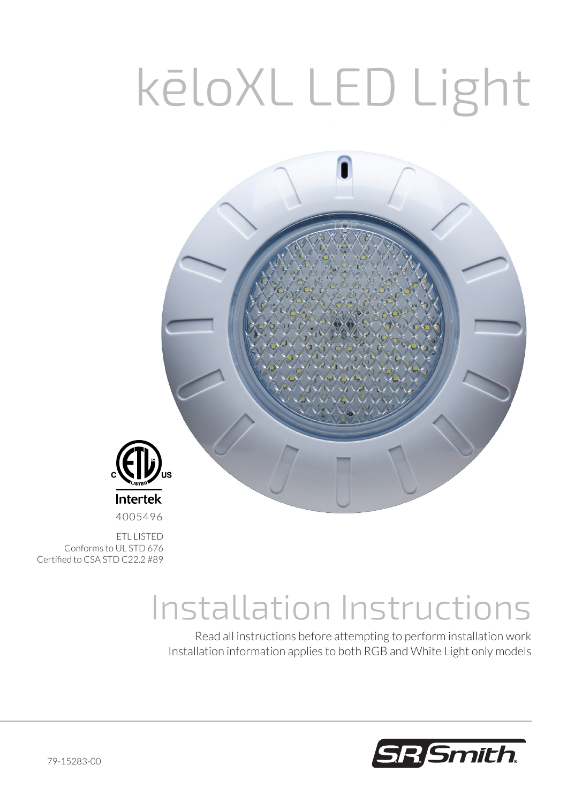# kēloXL LED Light



ETL LISTED Conforms to UL STD 676 Certified to CSA STD C22.2 #89

## Installation Instructions

Read all instructions before attempting to perform installation work Installation information applies to both RGB and White Light only models

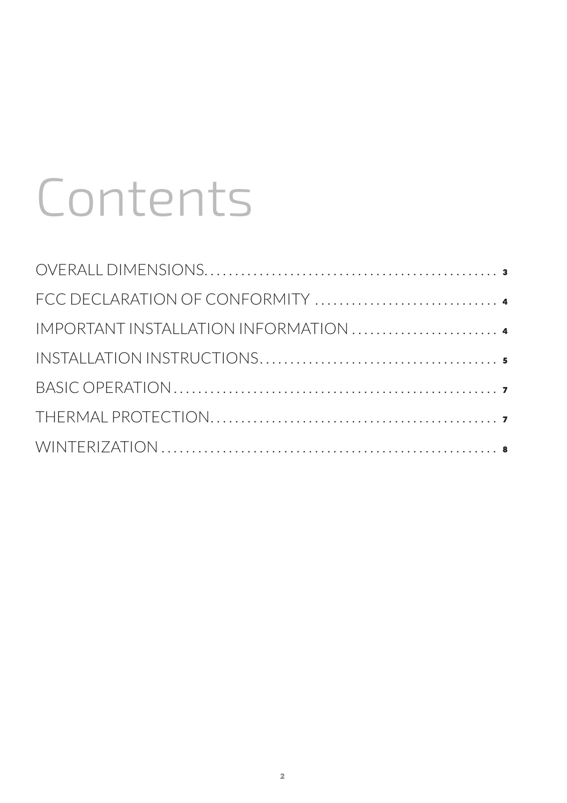# Contents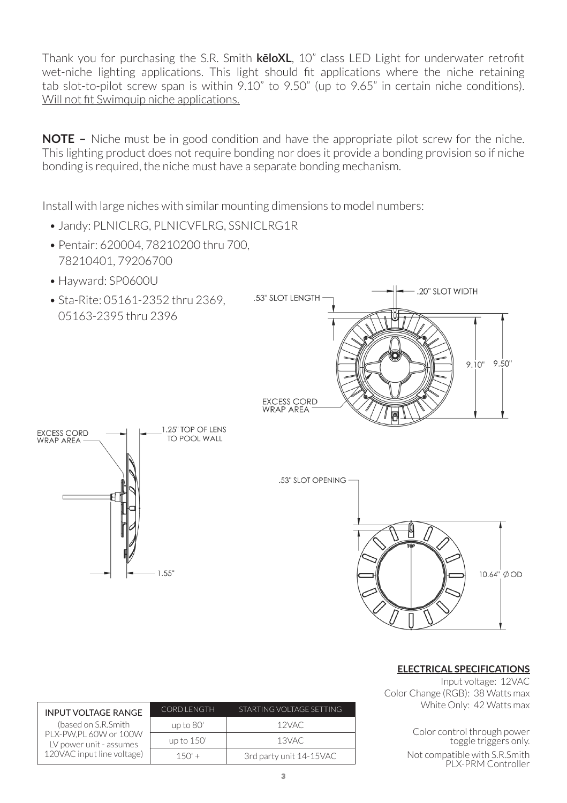Thank you for purchasing the S.R. Smith **kēloXL**, 10" class LED Light for underwater retrofit wet-niche lighting applications. This light should fit applications where the niche retaining tab slot-to-pilot screw span is within 9.10" to 9.50" (up to 9.65" in certain niche conditions). Will not fit Swimquip niche applications.

**NOTE –** Niche must be in good condition and have the appropriate pilot screw for the niche. This lighting product does not require bonding nor does it provide a bonding provision so if niche bonding is required, the niche must have a separate bonding mechanism.

Install with large niches with similar mounting dimensions to model numbers:

- Jandy: PLNICLRG, PLNICVELRG, SSNICLRG1R
- Pentair: 620004, 78210200 thru 700, 78210401, 79206700
- Hayward: SP0600U
- Sta-Rite: 05161-2352 thru 2369 05163-2395 thru 2396







#### **ELECTRICAL SPECIFICATIONS**

Input voltage: 12VAC Color Change (RGB): 38 Watts max White Only: 42 Watts max

> Color control through power toggle triggers only.

Not compatible with S.R.Smith PLX-PRM Controller

| <b>INPUT VOLTAGE RANGE</b>                                                                            | <b>CORD LENGTH</b> | STARTING VOLTAGE SETTING |
|-------------------------------------------------------------------------------------------------------|--------------------|--------------------------|
| (based on S.R.Smith<br>PLX-PW.PL 60W or 100W<br>LV power unit - assumes<br>120VAC input line voltage) | up to 80'          | 12VAC                    |
|                                                                                                       | up to 150'         | 13VAC                    |
|                                                                                                       | $150' +$           | 3rd party unit 14-15VAC  |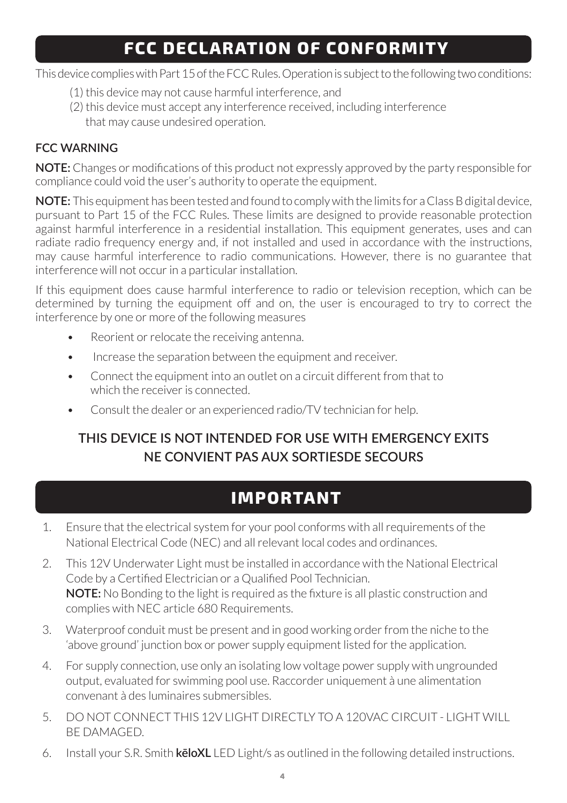## **FCC DECLARATION OF CONFORMITY**

This device complies with Part 15 of the FCC Rules. Operation is subject to the following two conditions:

- (1) this device may not cause harmful interference, and
- (2) this device must accept any interference received, including interference that may cause undesired operation.

#### **FCC WARNING**

**NOTE:** Changes or modifications of this product not expressly approved by the party responsible for compliance could void the user's authority to operate the equipment.

**NOTE:** This equipment has been tested and found to comply with the limits for a Class B digital device, pursuant to Part 15 of the FCC Rules. These limits are designed to provide reasonable protection against harmful interference in a residential installation. This equipment generates, uses and can radiate radio frequency energy and, if not installed and used in accordance with the instructions, may cause harmful interference to radio communications. However, there is no guarantee that interference will not occur in a particular installation.

If this equipment does cause harmful interference to radio or television reception, which can be determined by turning the equipment off and on, the user is encouraged to try to correct the interference by one or more of the following measures

- Reorient or relocate the receiving antenna.
- Increase the separation between the equipment and receiver.
- Connect the equipment into an outlet on a circuit different from that to which the receiver is connected.
- Consult the dealer or an experienced radio/TV technician for help.

#### **THIS DEVICE IS NOT INTENDED FOR USE WITH EMERGENCY EXITS NE CONVIENT PAS AUX SORTIESDE SECOURS**

## **IMPORTANT**

- 1. Ensure that the electrical system for your pool conforms with all requirements of the National Electrical Code (NEC) and all relevant local codes and ordinances.
- 2. This 12V Underwater Light must be installed in accordance with the National Electrical Code by a Certified Electrician or a Qualified Pool Technician. **NOTE:** No Bonding to the light is required as the fixture is all plastic construction and complies with NEC article 680 Requirements.
- 3. Waterproof conduit must be present and in good working order from the niche to the 'above ground' junction box or power supply equipment listed for the application.
- 4. For supply connection, use only an isolating low voltage power supply with ungrounded output, evaluated for swimming pool use. Raccorder uniquement à une alimentation convenant à des luminaires submersibles.
- 5. DO NOT CONNECT THIS 12V LIGHT DIRECTLY TO A 120VAC CIRCUIT LIGHT WILL BE DAMAGED.
- 6. Install your S.R. Smith **kēloXL** LED Light/s as outlined in the following detailed instructions.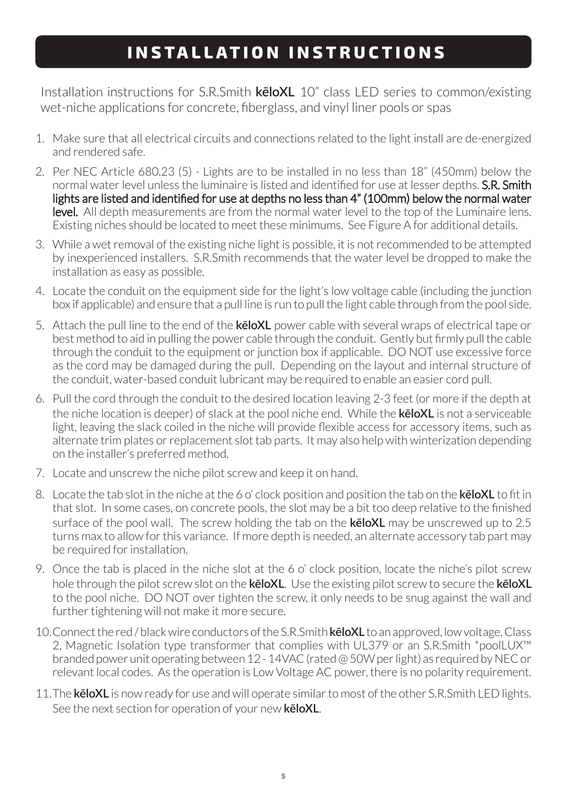## **INSTALLATION INSTRUCTIONS**

Installation instructions for S.R.Smith **kēloXL** 10" class LED series to common/existing wet-niche applications for concrete, fiberglass, and vinyl liner pools or spas

- 1. Make sure that all electrical circuits and connections related to the light install are de-energized and rendered safe.
- 2. Per NEC Article 680.23 (5) Lights are to be installed in no less than 18" (450mm) below the normal water level unless the luminaire is listed and identified for use at lesser depths. **S.R. Smith** lights are listed and identified for use at depths no less than 4" (100mm) below the normal water level. All depth measurements are from the normal water level to the top of the Luminaire lens. Existing niches should be located to meet these minimums. See Figure A for additional details.
- 3. While a wet removal of the existing niche light is possible, it is not recommended to be attempted by inexperienced installers. S.R.Smith recommends that the water level be dropped to make the installation as easy as possible.
- 4. Locate the conduit on the equipment side for the light's low voltage cable (including the junction box if applicable) and ensure that a pull line is run to pull the light cable through from the pool side.
- 5. Attach the pull line to the end of the **kēloXL** power cable with several wraps of electrical tape or best method to aid in pulling the power cable through the conduit. Gently but firmly pull the cable through the conduit to the equipment or junction box if applicable. DO NOT use excessive force as the cord may be damaged during the pull. Depending on the layout and internal structure of the conduit, water-based conduit lubricant may be required to enable an easier cord pull.
- 6. Pull the cord through the conduit to the desired location leaving 2-3 feet (or more if the depth at the niche location is deeper) of slack at the pool niche end. While the **kēloXL** is not a serviceable light, leaving the slack coiled in the niche will provide flexible access for accessory items, such as alternate trim plates or replacement slot tab parts. It may also help with winterization depending on the installer's preferred method.
- 7. Locate and unscrew the niche pilot screw and keep it on hand.
- 8. Locate the tab slot in the niche at the 6 o' clock position and position the tab on the **kēloXL** to fit in that slot. In some cases, on concrete pools, the slot may be a bit too deep relative to the finished surface of the pool wall. The screw holding the tab on the **kēloXL** may be unscrewed up to 2.5 turns max to allow for this variance. If more depth is needed, an alternate accessory tab part may be required for installation.
- 9. Once the tab is placed in the niche slot at the 6 o' clock position, locate the niche's pilot screw hole through the pilot screw slot on the **kēloXL**. Use the existing pilot screw to secure the **kēloXL**  to the pool niche. DO NOT over tighten the screw, it only needs to be snug against the wall and further tightening will not make it more secure.
- 10.Connect the red / black wire conductors of the S.R.Smith **kēloXL** to an approved, low voltage, Class 2, Magnetic Isolation type transformer that complies with UL379 or an S.R.Smith \*poolLUX™ branded power unit operating between 12 - 14VAC (rated @ 50W per light) as required by NEC or relevant local codes. As the operation is Low Voltage AC power, there is no polarity requirement.
- 11.The **kēloXL** is now ready for use and will operate similar to most of the other S.R.Smith LED lights. See the next section for operation of your new **kēloXL**.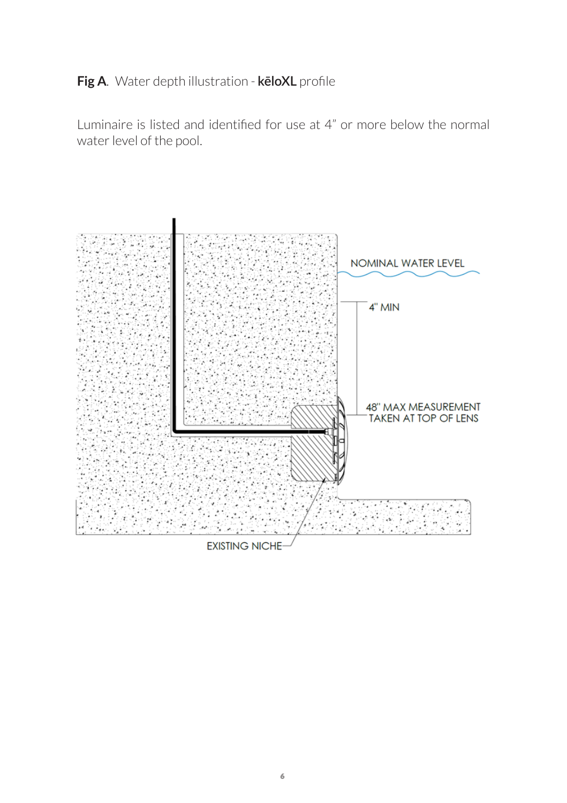#### **Fig A.** Water depth illustration - **kēloXL** profile

Luminaire is listed and identified for use at 4" or more below the normal water level of the pool.



**EXISTING NICHE**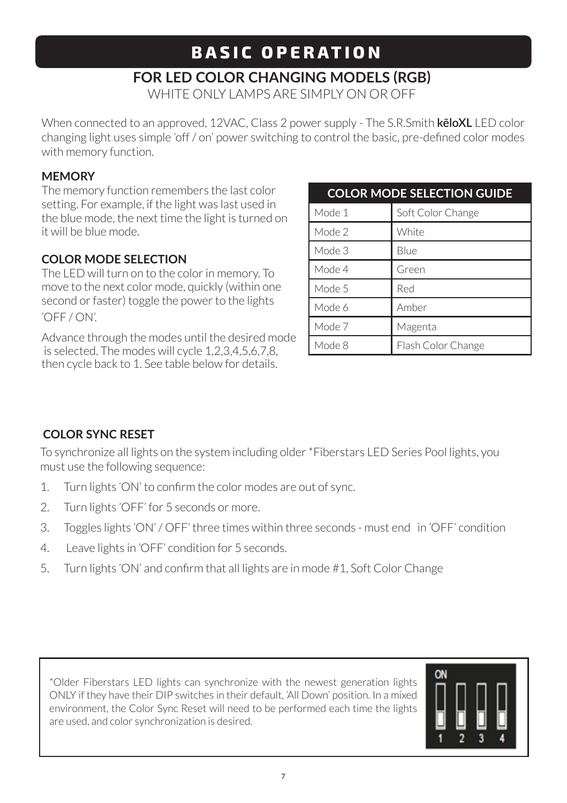## **BASIC OPERATION**

### **FOR LED COLOR CHANGING MODELS (RGB)**

WHITE ONLY LAMPS ARE SIMPLY ON OR OFF

When connected to an approved, 12VAC, Class 2 power supply - The S.R.Smith **kēloXL** LED color changing light uses simple 'off / on' power switching to control the basic, pre-defined color modes with memory function.

#### **MEMORY**

The memory function remembers the last color setting. For example, if the light was last used in the blue mode, the next time the light is turned on it will be blue mode.

#### **COLOR MODE SELECTION**

The LED will turn on to the color in memory. To move to the next color mode, quickly (within one second or faster) toggle the power to the lights 'OFF / ON'.

Advance through the modes until the desired mode is selected. The modes will cycle 1,2,3,4,5,6,7,8, then cycle back to 1. See table below for details.

| <b>COLOR MODE SELECTION GUIDE</b> |                    |  |  |
|-----------------------------------|--------------------|--|--|
| Mode 1                            | Soft Color Change  |  |  |
| Mode 2                            | White              |  |  |
| Mode 3                            | Blue               |  |  |
| Mode 4                            | Green              |  |  |
| Mode 5                            | Red                |  |  |
| Mode 6                            | Amber              |  |  |
| Mode 7                            | Magenta            |  |  |
| Mode 8                            | Flash Color Change |  |  |

#### **COLOR SYNC RESET**

To synchronize all lights on the system including older \*Fiberstars LED Series Pool lights, you must use the following sequence:

- 1. Turn lights 'ON' to confirm the color modes are out of sync.
- 2. Turn lights 'OFF' for 5 seconds or more.
- 3. Toggles lights 'ON' / OFF' three times within three seconds must end in 'OFF' condition
- 4. Leave lights in 'OFF' condition for 5 seconds.
- 5. Turn lights 'ON' and confirm that all lights are in mode #1, Soft Color Change

\*Older Fiberstars LED lights can synchronize with the newest generation lights ONLY if they have their DIP switches in their default, 'All Down' position. In a mixed environment, the Color Sync Reset will need to be performed each time the lights are used, and color synchronization is desired.